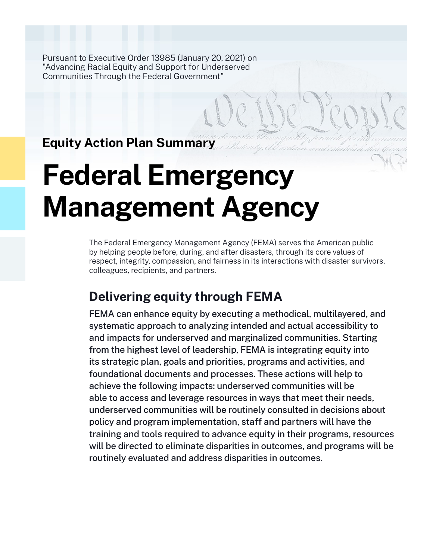Pursuant to Executive Order 13985 (January 20, 2021) on "Advancing Racial Equity and Support for Underserved Communities Through the Federal Government"

**Equity Action Plan Summary**

# **Federal Emergency Management Agency**

The Federal Emergency Management Agency (FEMA) serves the American public by helping people before, during, and after disasters, through its core values of respect, integrity, compassion, and fairness in its interactions with disaster survivors, colleagues, recipients, and partners.

# **Delivering equity through FEMA**

FEMA can enhance equity by executing a methodical, multilayered, and systematic approach to analyzing intended and actual accessibility to and impacts for underserved and marginalized communities. Starting from the highest level of leadership, FEMA is integrating equity into its strategic plan, goals and priorities, programs and activities, and foundational documents and processes. These actions will help to achieve the following impacts: underserved communities will be able to access and leverage resources in ways that meet their needs, underserved communities will be routinely consulted in decisions about policy and program implementation, staff and partners will have the training and tools required to advance equity in their programs, resources will be directed to eliminate disparities in outcomes, and programs will be routinely evaluated and address disparities in outcomes.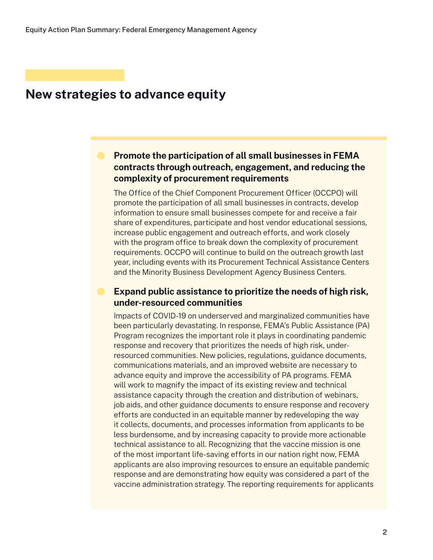# **Promote the participation of all small businesses in FEMA contracts through outreach, engagement, and reducing the complexity of procurement requirements**

The Office of the Chief Component Procurement Officer (OCCPO) will promote the participation of all small businesses in contracts, develop information to ensure small businesses compete for and receive a fair share of expenditures, participate and host vendor educational sessions, increase public engagement and outreach efforts, and work closely with the program office to break down the complexity of procurement requirements. OCCPO will continue to build on the outreach growth last year, including events with its Procurement Technical Assistance Centers and the Minority Business Development Agency Business Centers.

# **Expand public assistance to prioritize the needs of high risk, under-resourced communities**

Impacts of COVID-19 on underserved and marginalized communities have been particularly devastating. In response, FEMA's Public Assistance (PA) Program recognizes the important role it plays in coordinating pandemic response and recovery that prioritizes the needs of high risk, underresourced communities. New policies, regulations, guidance documents, communications materials, and an improved website are necessary to advance equity and improve the accessibility of PA programs. FEMA will work to magnify the impact of its existing review and technical assistance capacity through the creation and distribution of webinars, job aids, and other guidance documents to ensure response and recovery efforts are conducted in an equitable manner by redeveloping the way it collects, documents, and processes information from applicants to be less burdensome, and by increasing capacity to provide more actionable technical assistance to all. Recognizing that the vaccine mission is one of the most important life-saving efforts in our nation right now, FEMA applicants are also improving resources to ensure an equitable pandemic response and are demonstrating how equity was considered a part of the vaccine administration strategy. The reporting requirements for applicants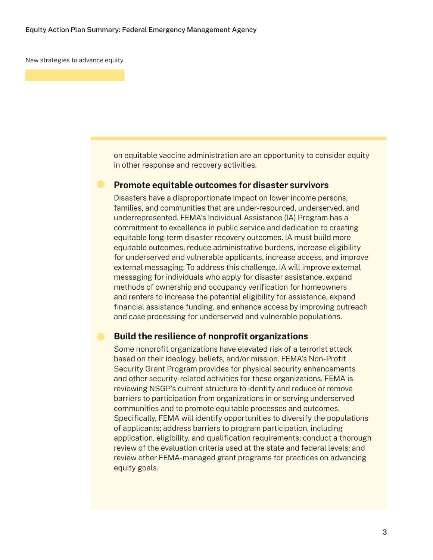on equitable vaccine administration are an opportunity to consider equity in other response and recovery activities.

#### **Promote equitable outcomes for disaster survivors**

Disasters have a disproportionate impact on lower income persons, families, and communities that are under-resourced, underserved, and underrepresented. FEMA's Individual Assistance (IA) Program has a commitment to excellence in public service and dedication to creating equitable long-term disaster recovery outcomes. IA must build more equitable outcomes, reduce administrative burdens, increase eligibility for underserved and vulnerable applicants, increase access, and improve external messaging. To address this challenge, IA will improve external messaging for individuals who apply for disaster assistance, expand methods of ownership and occupancy verification for homeowners and renters to increase the potential eligibility for assistance, expand financial assistance funding, and enhance access by improving outreach and case processing for underserved and vulnerable populations.

#### **Build the resilience of nonprofit organizations**

Some nonprofit organizations have elevated risk of a terrorist attack based on their ideology, beliefs, and/or mission. FEMA's Non-Profit Security Grant Program provides for physical security enhancements and other security-related activities for these organizations. FEMA is reviewing NSGP's current structure to identify and reduce or remove barriers to participation from organizations in or serving underserved communities and to promote equitable processes and outcomes. Specifically, FEMA will identify opportunities to diversify the populations of applicants; address barriers to program participation, including application, eligibility, and qualification requirements; conduct a thorough review of the evaluation criteria used at the state and federal levels; and review other FEMA-managed grant programs for practices on advancing equity goals.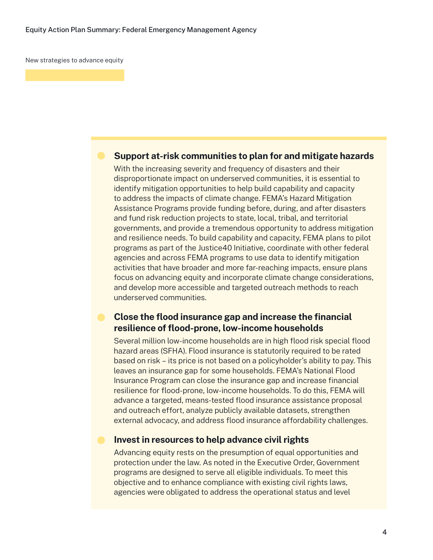## **Support at-risk communities to plan for and mitigate hazards**

With the increasing severity and frequency of disasters and their disproportionate impact on underserved communities, it is essential to identify mitigation opportunities to help build capability and capacity to address the impacts of climate change. FEMA's Hazard Mitigation Assistance Programs provide funding before, during, and after disasters and fund risk reduction projects to state, local, tribal, and territorial governments, and provide a tremendous opportunity to address mitigation and resilience needs. To build capability and capacity, FEMA plans to pilot programs as part of the Justice40 Initiative, coordinate with other federal agencies and across FEMA programs to use data to identify mitigation activities that have broader and more far-reaching impacts, ensure plans focus on advancing equity and incorporate climate change considerations, and develop more accessible and targeted outreach methods to reach underserved communities.

## **Close the flood insurance gap and increase the financial resilience of flood-prone, low-income households**

Several million low-income households are in high flood risk special flood hazard areas (SFHA). Flood insurance is statutorily required to be rated based on risk – its price is not based on a policyholder's ability to pay. This leaves an insurance gap for some households. FEMA's National Flood Insurance Program can close the insurance gap and increase financial resilience for flood-prone, low-income households. To do this, FEMA will advance a targeted, means-tested flood insurance assistance proposal and outreach effort, analyze publicly available datasets, strengthen external advocacy, and address flood insurance affordability challenges.

#### **Invest in resources to help advance civil rights**

Advancing equity rests on the presumption of equal opportunities and protection under the law. As noted in the Executive Order, Government programs are designed to serve all eligible individuals. To meet this objective and to enhance compliance with existing civil rights laws, agencies were obligated to address the operational status and level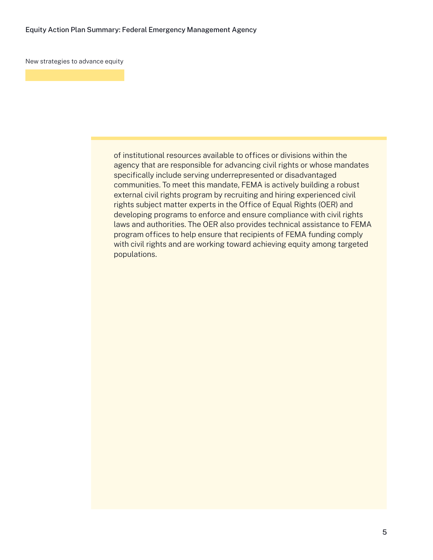of institutional resources available to offices or divisions within the agency that are responsible for advancing civil rights or whose mandates specifically include serving underrepresented or disadvantaged communities. To meet this mandate, FEMA is actively building a robust external civil rights program by recruiting and hiring experienced civil rights subject matter experts in the Office of Equal Rights (OER) and developing programs to enforce and ensure compliance with civil rights laws and authorities. The OER also provides technical assistance to FEMA program offices to help ensure that recipients of FEMA funding comply with civil rights and are working toward achieving equity among targeted populations.